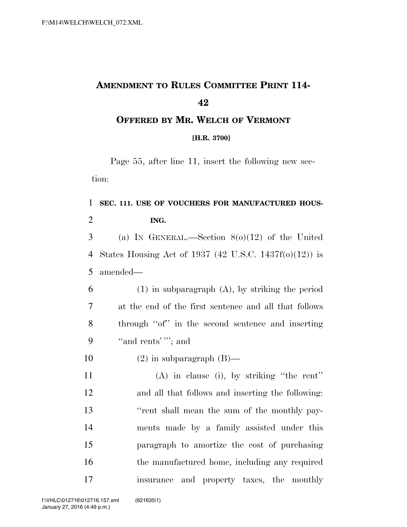# **AMENDMENT TO RULES COMMITTEE PRINT 114-**

### **OFFERED BY MR. WELCH OF VERMONT**

#### **[H.R. 3700]**

Page 55, after line 11, insert the following new section:

### **SEC. 111. USE OF VOUCHERS FOR MANUFACTURED HOUS-ING.**

 (a) IN GENERAL.—Section 8(o)(12) of the United States Housing Act of 1937 (42 U.S.C. 1437f(o)(12)) is amended—

 (1) in subparagraph (A), by striking the period at the end of the first sentence and all that follows through ''of'' in the second sentence and inserting ''and rents' '''; and

10  $(2)$  in subparagraph  $(B)$ —

 (A) in clause (i), by striking ''the rent'' and all that follows and inserting the following: ''rent shall mean the sum of the monthly pay- ments made by a family assisted under this paragraph to amortize the cost of purchasing 16 the manufactured home, including any required insurance and property taxes, the monthly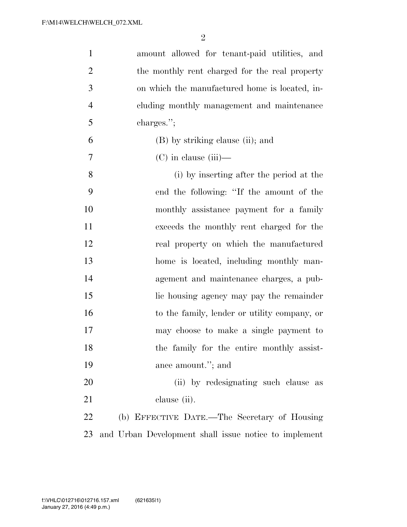| $\mathbf{1}$   | amount allowed for tenant-paid utilities, and         |
|----------------|-------------------------------------------------------|
| $\overline{2}$ | the monthly rent charged for the real property        |
| 3              | on which the manufactured home is located, in-        |
| $\overline{4}$ | cluding monthly management and maintenance            |
| 5              | charges.";                                            |
| 6              | (B) by striking clause (ii); and                      |
| 7              | $(C)$ in clause (iii)—                                |
| 8              | (i) by inserting after the period at the              |
| 9              | end the following: "If the amount of the              |
| 10             | monthly assistance payment for a family               |
| 11             | exceeds the monthly rent charged for the              |
| 12             | real property on which the manufactured               |
| 13             | home is located, including monthly man-               |
| 14             | agement and maintenance charges, a pub-               |
| 15             | lic housing agency may pay the remainder              |
| 16             | to the family, lender or utility company, or          |
| 17             | may choose to make a single payment to                |
| 18             | the family for the entire monthly assist-             |
| 19             | ance amount."; and                                    |
| 20             | (ii) by redesignating such clause as                  |
| 21             | clause (ii).                                          |
| 22             | (b) EFFECTIVE DATE.—The Secretary of Housing          |
| 23             | and Urban Development shall issue notice to implement |